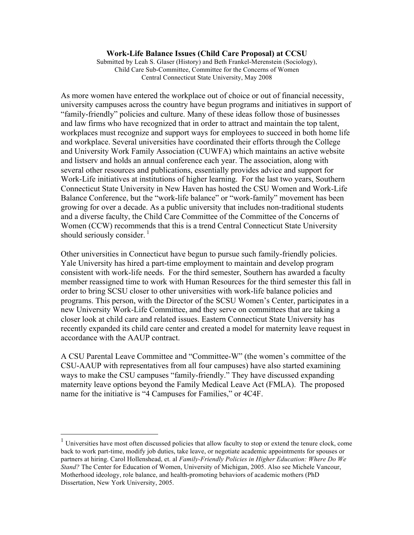#### **Work-Life Balance Issues (Child Care Proposal) at CCSU**

Submitted by Leah S. Glaser (History) and Beth Frankel-Merenstein (Sociology), Child Care Sub-Committee, Committee for the Concerns of Women Central Connecticut State University, May 2008

As more women have entered the workplace out of choice or out of financial necessity, university campuses across the country have begun programs and initiatives in support of "family-friendly" policies and culture. Many of these ideas follow those of businesses and law firms who have recognized that in order to attract and maintain the top talent, workplaces must recognize and support ways for employees to succeed in both home life and workplace. Several universities have coordinated their efforts through the College and University Work Family Association (CUWFA) which maintains an active website and listserv and holds an annual conference each year. The association, along with several other resources and publications, essentially provides advice and support for Work-Life initiatives at institutions of higher learning. For the last two years, Southern Connecticut State University in New Haven has hosted the CSU Women and Work-Life Balance Conference, but the "work-life balance" or "work-family" movement has been growing for over a decade. As a public university that includes non-traditional students and a diverse faculty, the Child Care Committee of the Committee of the Concerns of Women (CCW) recommends that this is a trend Central Connecticut State University should seriously consider. $\frac{1}{1}$ 

Other universities in Connecticut have begun to pursue such family-friendly policies. Yale University has hired a part-time employment to maintain and develop program consistent with work-life needs. For the third semester, Southern has awarded a faculty member reassigned time to work with Human Resources for the third semester this fall in order to bring SCSU closer to other universities with work-life balance policies and programs. This person, with the Director of the SCSU Women's Center, participates in a new University Work-Life Committee, and they serve on committees that are taking a closer look at child care and related issues. Eastern Connecticut State University has recently expanded its child care center and created a model for maternity leave request in accordance with the AAUP contract.

A CSU Parental Leave Committee and "Committee-W" (the women's committee of the CSU-AAUP with representatives from all four campuses) have also started examining ways to make the CSU campuses "family-friendly." They have discussed expanding maternity leave options beyond the Family Medical Leave Act (FMLA). The proposed name for the initiative is "4 Campuses for Families," or 4C4F.

 <sup>1</sup> Universities have most often discussed policies that allow faculty to stop or extend the tenure clock, come back to work part-time, modify job duties, take leave, or negotiate academic appointments for spouses or partners at hiring. Carol Hollenshead, et. al *Family-Friendly Policies in Higher Education: Where Do We Stand?* The Center for Education of Women, University of Michigan, 2005. Also see Michele Vancour, Motherhood ideology, role balance, and health-promoting behaviors of academic mothers (PhD Dissertation, New York University, 2005.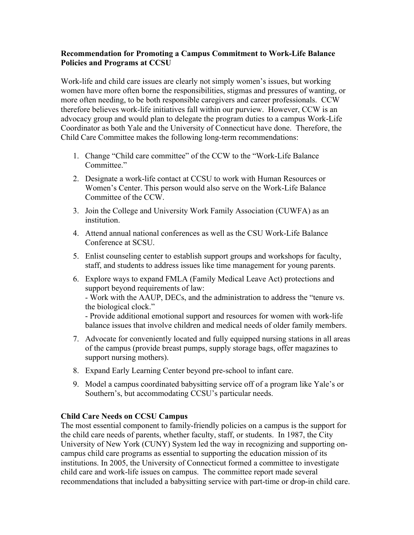### **Recommendation for Promoting a Campus Commitment to Work-Life Balance Policies and Programs at CCSU**

Work-life and child care issues are clearly not simply women's issues, but working women have more often borne the responsibilities, stigmas and pressures of wanting, or more often needing, to be both responsible caregivers and career professionals. CCW therefore believes work-life initiatives fall within our purview. However, CCW is an advocacy group and would plan to delegate the program duties to a campus Work-Life Coordinator as both Yale and the University of Connecticut have done. Therefore, the Child Care Committee makes the following long-term recommendations:

- 1. Change "Child care committee" of the CCW to the "Work-Life Balance Committee."
- 2. Designate a work-life contact at CCSU to work with Human Resources or Women's Center. This person would also serve on the Work-Life Balance Committee of the CCW.
- 3. Join the College and University Work Family Association (CUWFA) as an institution.
- 4. Attend annual national conferences as well as the CSU Work-Life Balance Conference at SCSU.
- 5. Enlist counseling center to establish support groups and workshops for faculty, staff, and students to address issues like time management for young parents.
- 6. Explore ways to expand FMLA (Family Medical Leave Act) protections and support beyond requirements of law:

- Work with the AAUP, DECs, and the administration to address the "tenure vs. the biological clock."

- Provide additional emotional support and resources for women with work-life balance issues that involve children and medical needs of older family members.

- 7. Advocate for conveniently located and fully equipped nursing stations in all areas of the campus (provide breast pumps, supply storage bags, offer magazines to support nursing mothers).
- 8. Expand Early Learning Center beyond pre-school to infant care.
- 9. Model a campus coordinated babysitting service off of a program like Yale's or Southern's, but accommodating CCSU's particular needs.

# **Child Care Needs on CCSU Campus**

The most essential component to family-friendly policies on a campus is the support for the child care needs of parents, whether faculty, staff, or students. In 1987, the City University of New York (CUNY) System led the way in recognizing and supporting oncampus child care programs as essential to supporting the education mission of its institutions. In 2005, the University of Connecticut formed a committee to investigate child care and work-life issues on campus. The committee report made several recommendations that included a babysitting service with part-time or drop-in child care.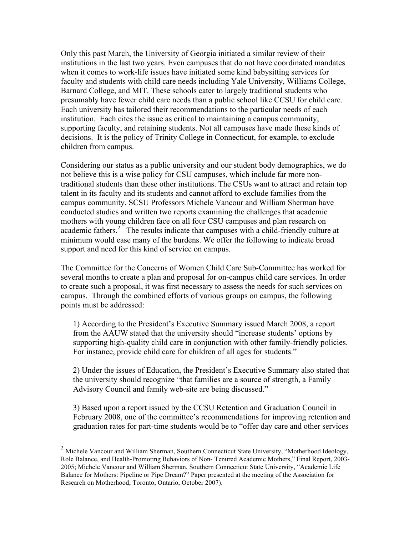Only this past March, the University of Georgia initiated a similar review of their institutions in the last two years. Even campuses that do not have coordinated mandates when it comes to work-life issues have initiated some kind babysitting services for faculty and students with child care needs including Yale University, Williams College, Barnard College, and MIT. These schools cater to largely traditional students who presumably have fewer child care needs than a public school like CCSU for child care. Each university has tailored their recommendations to the particular needs of each institution. Each cites the issue as critical to maintaining a campus community, supporting faculty, and retaining students. Not all campuses have made these kinds of decisions. It is the policy of Trinity College in Connecticut, for example, to exclude children from campus.

Considering our status as a public university and our student body demographics, we do not believe this is a wise policy for CSU campuses, which include far more nontraditional students than these other institutions. The CSUs want to attract and retain top talent in its faculty and its students and cannot afford to exclude families from the campus community. SCSU Professors Michele Vancour and William Sherman have conducted studies and written two reports examining the challenges that academic mothers with young children face on all four CSU campuses and plan research on academic fathers.<sup>2</sup> The results indicate that campuses with a child-friendly culture at minimum would ease many of the burdens. We offer the following to indicate broad support and need for this kind of service on campus.

The Committee for the Concerns of Women Child Care Sub-Committee has worked for several months to create a plan and proposal for on-campus child care services. In order to create such a proposal, it was first necessary to assess the needs for such services on campus. Through the combined efforts of various groups on campus, the following points must be addressed:

1) According to the President's Executive Summary issued March 2008, a report from the AAUW stated that the university should "increase students' options by supporting high-quality child care in conjunction with other family-friendly policies. For instance, provide child care for children of all ages for students."

2) Under the issues of Education, the President's Executive Summary also stated that the university should recognize "that families are a source of strength, a Family Advisory Council and family web-site are being discussed."

3) Based upon a report issued by the CCSU Retention and Graduation Council in February 2008, one of the committee's recommendations for improving retention and graduation rates for part-time students would be to "offer day care and other services

 <sup>2</sup> Michele Vancour and William Sherman, Southern Connecticut State University, "Motherhood Ideology, Role Balance, and Health-Promoting Behaviors of Non- Tenured Academic Mothers," Final Report, 2003- 2005; Michele Vancour and William Sherman, Southern Connecticut State University, "Academic Life Balance for Mothers: Pipeline or Pipe Dream?" Paper presented at the meeting of the Association for Research on Motherhood, Toronto, Ontario, October 2007).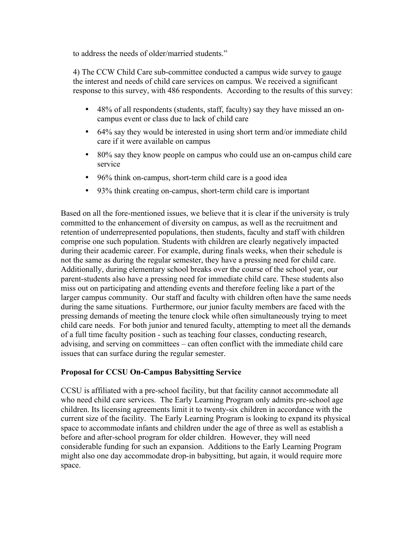to address the needs of older/married students."

4) The CCW Child Care sub-committee conducted a campus wide survey to gauge the interest and needs of child care services on campus. We received a significant response to this survey, with 486 respondents. According to the results of this survey:

- 48% of all respondents (students, staff, faculty) say they have missed an oncampus event or class due to lack of child care
- 64% say they would be interested in using short term and/or immediate child care if it were available on campus
- 80% say they know people on campus who could use an on-campus child care service
- 96% think on-campus, short-term child care is a good idea
- 93% think creating on-campus, short-term child care is important

Based on all the fore-mentioned issues, we believe that it is clear if the university is truly committed to the enhancement of diversity on campus, as well as the recruitment and retention of underrepresented populations, then students, faculty and staff with children comprise one such population. Students with children are clearly negatively impacted during their academic career. For example, during finals weeks, when their schedule is not the same as during the regular semester, they have a pressing need for child care. Additionally, during elementary school breaks over the course of the school year, our parent-students also have a pressing need for immediate child care. These students also miss out on participating and attending events and therefore feeling like a part of the larger campus community. Our staff and faculty with children often have the same needs during the same situations. Furthermore, our junior faculty members are faced with the pressing demands of meeting the tenure clock while often simultaneously trying to meet child care needs. For both junior and tenured faculty, attempting to meet all the demands of a full time faculty position - such as teaching four classes, conducting research, advising, and serving on committees – can often conflict with the immediate child care issues that can surface during the regular semester.

# **Proposal for CCSU On-Campus Babysitting Service**

CCSU is affiliated with a pre-school facility, but that facility cannot accommodate all who need child care services. The Early Learning Program only admits pre-school age children. Its licensing agreements limit it to twenty-six children in accordance with the current size of the facility. The Early Learning Program is looking to expand its physical space to accommodate infants and children under the age of three as well as establish a before and after-school program for older children. However, they will need considerable funding for such an expansion. Additions to the Early Learning Program might also one day accommodate drop-in babysitting, but again, it would require more space.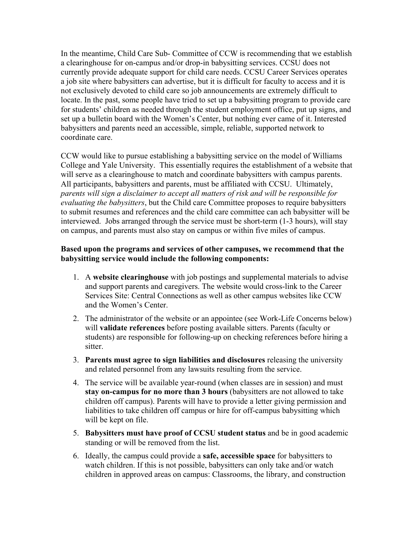In the meantime, Child Care Sub- Committee of CCW is recommending that we establish a clearinghouse for on-campus and/or drop-in babysitting services. CCSU does not currently provide adequate support for child care needs. CCSU Career Services operates a job site where babysitters can advertise, but it is difficult for faculty to access and it is not exclusively devoted to child care so job announcements are extremely difficult to locate. In the past, some people have tried to set up a babysitting program to provide care for students' children as needed through the student employment office, put up signs, and set up a bulletin board with the Women's Center, but nothing ever came of it. Interested babysitters and parents need an accessible, simple, reliable, supported network to coordinate care.

CCW would like to pursue establishing a babysitting service on the model of Williams College and Yale University. This essentially requires the establishment of a website that will serve as a clearinghouse to match and coordinate babysitters with campus parents. All participants, babysitters and parents, must be affiliated with CCSU. Ultimately, *parents will sign a disclaimer to accept all matters of risk and will be responsible for evaluating the babysitters*, but the Child care Committee proposes to require babysitters to submit resumes and references and the child care committee can ach babysitter will be interviewed. Jobs arranged through the service must be short-term (1-3 hours), will stay on campus, and parents must also stay on campus or within five miles of campus.

## **Based upon the programs and services of other campuses, we recommend that the babysitting service would include the following components:**

- 1. A **website clearinghouse** with job postings and supplemental materials to advise and support parents and caregivers. The website would cross-link to the Career Services Site: Central Connections as well as other campus websites like CCW and the Women's Center.
- 2. The administrator of the website or an appointee (see Work-Life Concerns below) will **validate references** before posting available sitters. Parents (faculty or students) are responsible for following-up on checking references before hiring a sitter.
- 3. **Parents must agree to sign liabilities and disclosures** releasing the university and related personnel from any lawsuits resulting from the service.
- 4. The service will be available year-round (when classes are in session) and must **stay on-campus for no more than 3 hours** (babysitters are not allowed to take children off campus). Parents will have to provide a letter giving permission and liabilities to take children off campus or hire for off-campus babysitting which will be kept on file.
- 5. **Babysitters must have proof of CCSU student status** and be in good academic standing or will be removed from the list.
- 6. Ideally, the campus could provide a **safe, accessible space** for babysitters to watch children. If this is not possible, babysitters can only take and/or watch children in approved areas on campus: Classrooms, the library, and construction